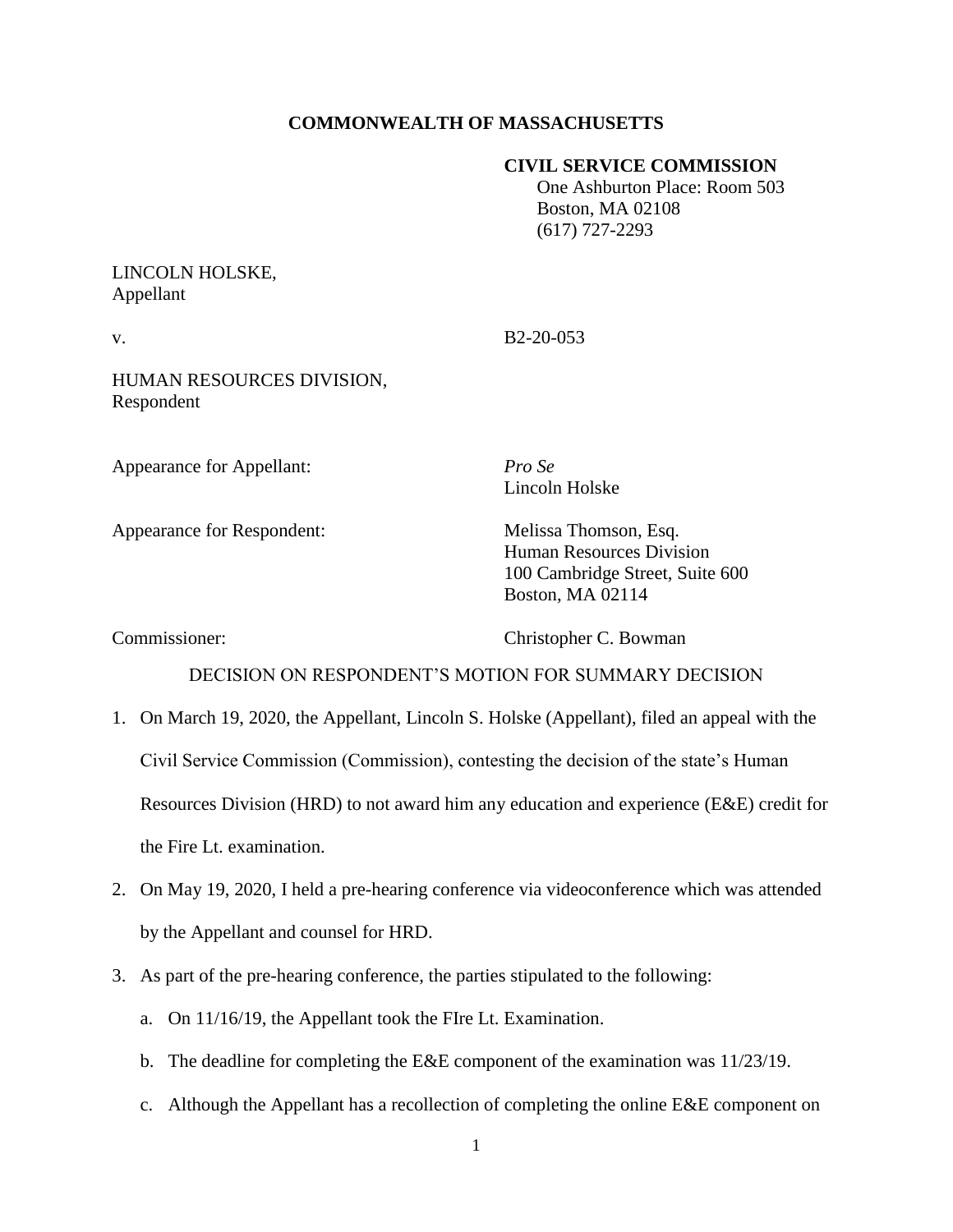# **COMMONWEALTH OF MASSACHUSETTS**

## **CIVIL SERVICE COMMISSION**

 One Ashburton Place: Room 503 Boston, MA 02108 (617) 727-2293

# LINCOLN HOLSKE, Appellant

v. B<sub>2</sub>-20-053

HUMAN RESOURCES DIVISION, Respondent

Appearance for Appellant: *Pro Se*

Appearance for Respondent: Melissa Thomson, Esq.

Lincoln Holske

Human Resources Division 100 Cambridge Street, Suite 600 Boston, MA 02114

Commissioner: Christopher C. Bowman

## DECISION ON RESPONDENT'S MOTION FOR SUMMARY DECISION

- 1. On March 19, 2020, the Appellant, Lincoln S. Holske (Appellant), filed an appeal with the Civil Service Commission (Commission), contesting the decision of the state's Human Resources Division (HRD) to not award him any education and experience (E&E) credit for the Fire Lt. examination.
- 2. On May 19, 2020, I held a pre-hearing conference via videoconference which was attended by the Appellant and counsel for HRD.
- 3. As part of the pre-hearing conference, the parties stipulated to the following:
	- a. On 11/16/19, the Appellant took the FIre Lt. Examination.
	- b. The deadline for completing the E&E component of the examination was 11/23/19.
	- c. Although the Appellant has a recollection of completing the online  $E \& E$  component on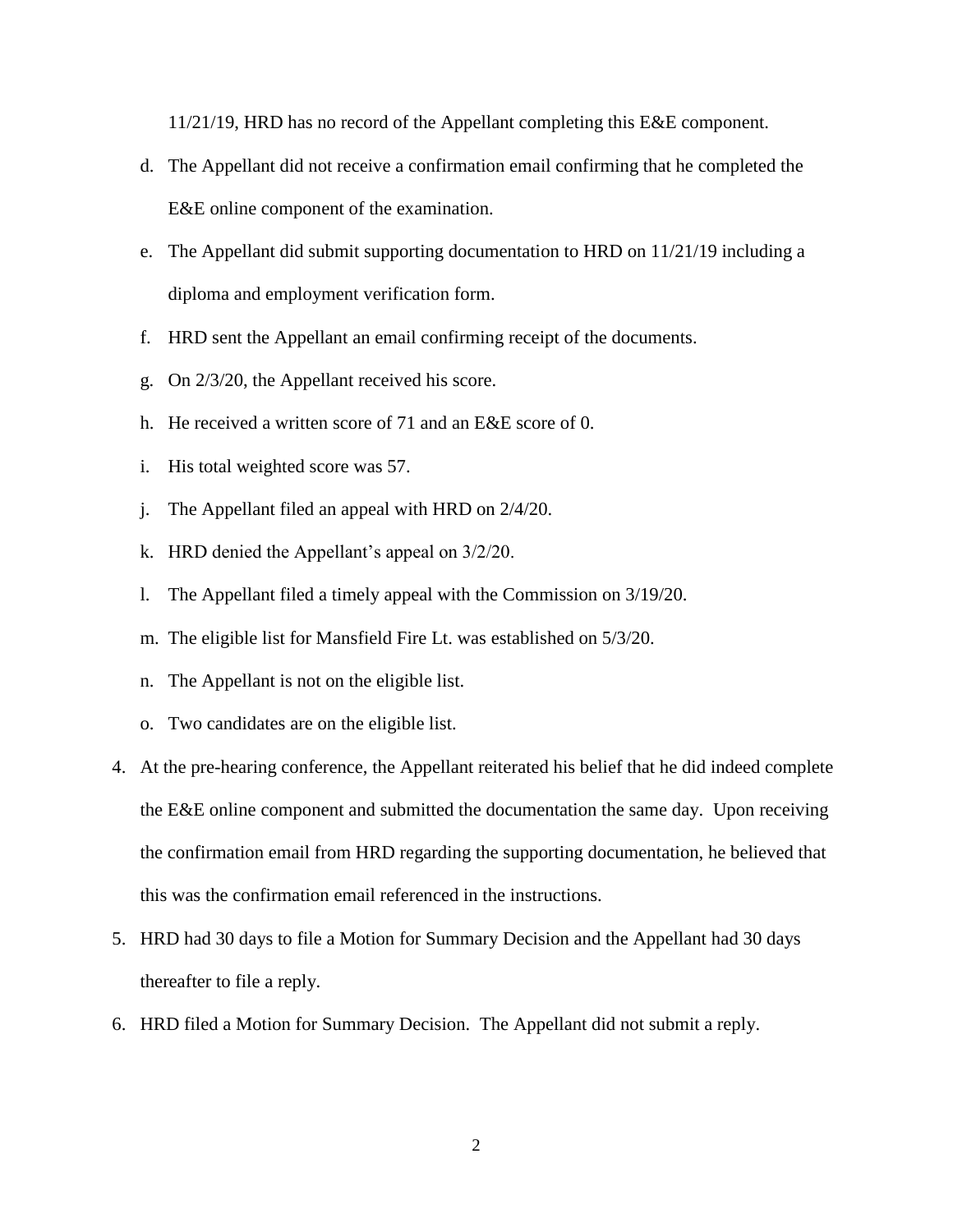11/21/19, HRD has no record of the Appellant completing this E&E component.

- d. The Appellant did not receive a confirmation email confirming that he completed the E&E online component of the examination.
- e. The Appellant did submit supporting documentation to HRD on 11/21/19 including a diploma and employment verification form.
- f. HRD sent the Appellant an email confirming receipt of the documents.
- g. On 2/3/20, the Appellant received his score.
- h. He received a written score of 71 and an E&E score of 0.
- i. His total weighted score was 57.
- j. The Appellant filed an appeal with HRD on 2/4/20.
- k. HRD denied the Appellant's appeal on 3/2/20.
- l. The Appellant filed a timely appeal with the Commission on 3/19/20.
- m. The eligible list for Mansfield Fire Lt. was established on 5/3/20.
- n. The Appellant is not on the eligible list.
- o. Two candidates are on the eligible list.
- 4. At the pre-hearing conference, the Appellant reiterated his belief that he did indeed complete the E&E online component and submitted the documentation the same day. Upon receiving the confirmation email from HRD regarding the supporting documentation, he believed that this was the confirmation email referenced in the instructions.
- 5. HRD had 30 days to file a Motion for Summary Decision and the Appellant had 30 days thereafter to file a reply.
- 6. HRD filed a Motion for Summary Decision. The Appellant did not submit a reply.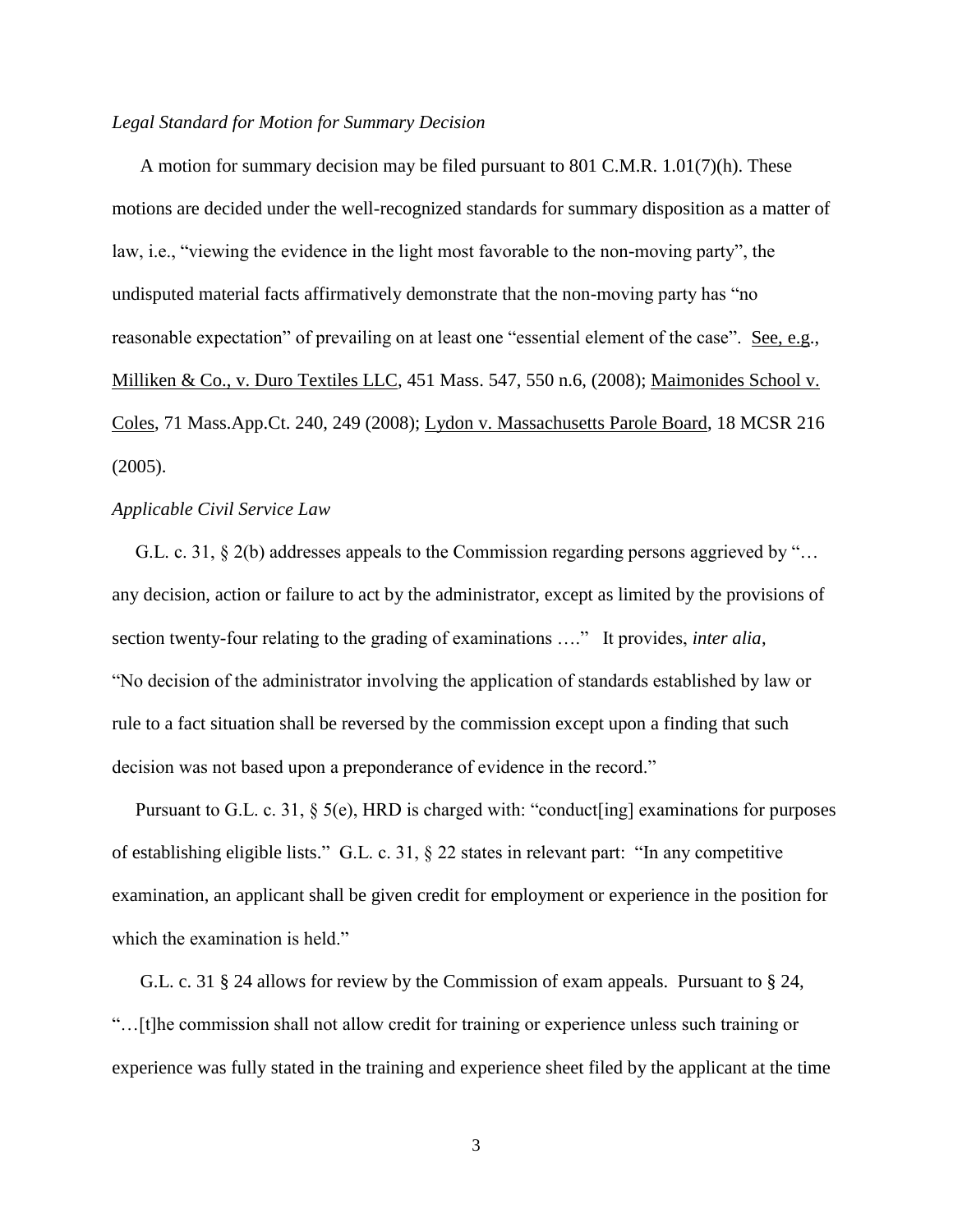#### *Legal Standard for Motion for Summary Decision*

A motion for summary decision may be filed pursuant to 801 C.M.R. 1.01(7)(h). These motions are decided under the well-recognized standards for summary disposition as a matter of law, i.e., "viewing the evidence in the light most favorable to the non-moving party", the undisputed material facts affirmatively demonstrate that the non-moving party has "no reasonable expectation" of prevailing on at least one "essential element of the case". See, e.g., Milliken & Co., v. Duro Textiles LLC, 451 Mass. 547, 550 n.6, (2008); Maimonides School v. Coles, 71 Mass.App.Ct. 240, 249 (2008); Lydon v. Massachusetts Parole Board, 18 MCSR 216 (2005).

## *Applicable Civil Service Law*

 G.L. c. 31, § 2(b) addresses appeals to the Commission regarding persons aggrieved by "… any decision, action or failure to act by the administrator, except as limited by the provisions of section twenty-four relating to the grading of examinations …." It provides, *inter alia*, "No decision of the administrator involving the application of standards established by law or rule to a fact situation shall be reversed by the commission except upon a finding that such decision was not based upon a preponderance of evidence in the record."

 Pursuant to G.L. c. 31, § 5(e), HRD is charged with: "conduct[ing] examinations for purposes of establishing eligible lists." G.L. c. 31, § 22 states in relevant part: "In any competitive examination, an applicant shall be given credit for employment or experience in the position for which the examination is held."

 G.L. c. 31 § 24 allows for review by the Commission of exam appeals. Pursuant to § 24, "…[t]he commission shall not allow credit for training or experience unless such training or experience was fully stated in the training and experience sheet filed by the applicant at the time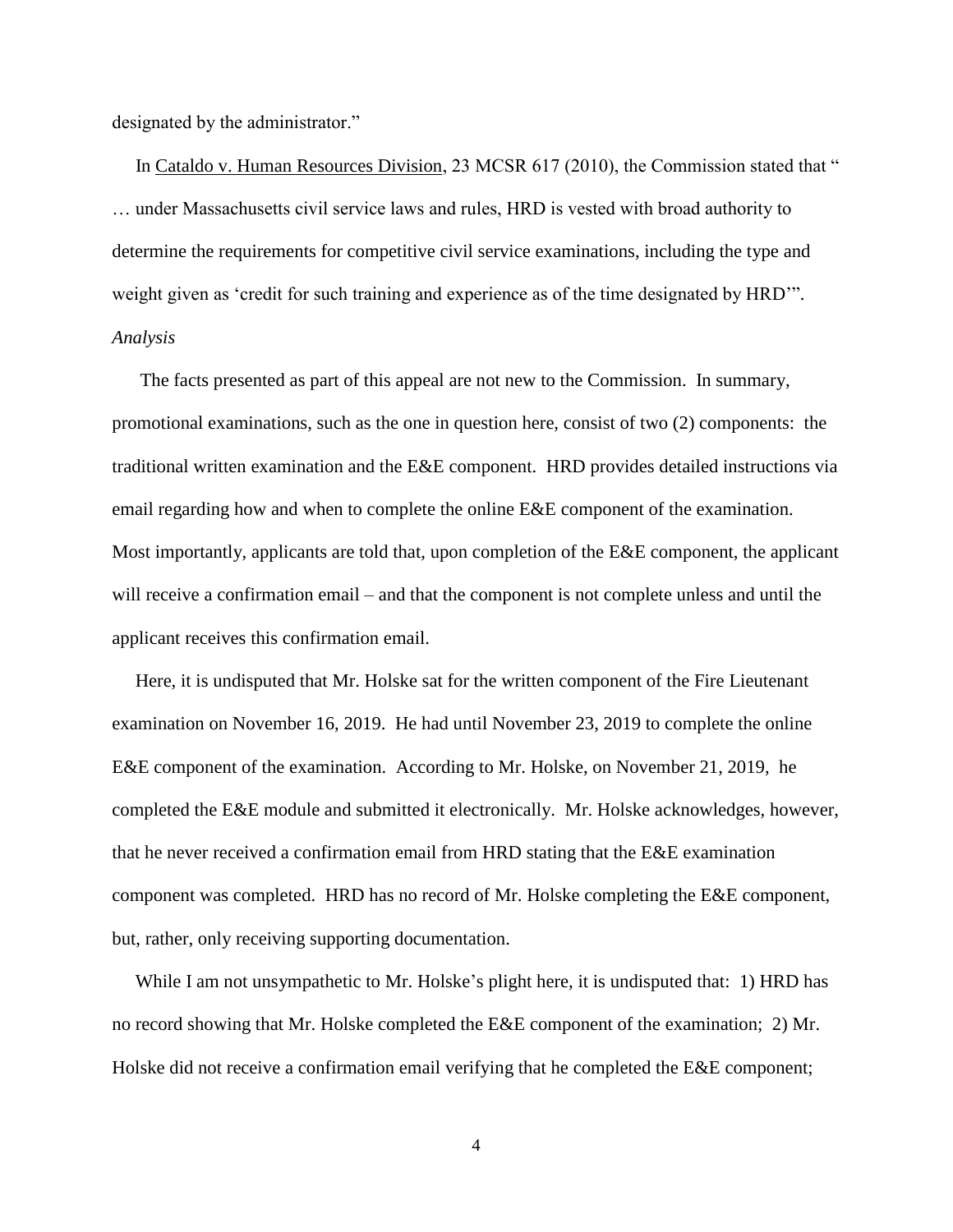designated by the administrator."

In Cataldo v. Human Resources Division, 23 MCSR 617 (2010), the Commission stated that " … under Massachusetts civil service laws and rules, HRD is vested with broad authority to determine the requirements for competitive civil service examinations, including the type and weight given as 'credit for such training and experience as of the time designated by HRD'". *Analysis*

 The facts presented as part of this appeal are not new to the Commission. In summary, promotional examinations, such as the one in question here, consist of two (2) components: the traditional written examination and the E&E component. HRD provides detailed instructions via email regarding how and when to complete the online E&E component of the examination. Most importantly, applicants are told that, upon completion of the E&E component, the applicant will receive a confirmation email – and that the component is not complete unless and until the applicant receives this confirmation email.

 Here, it is undisputed that Mr. Holske sat for the written component of the Fire Lieutenant examination on November 16, 2019. He had until November 23, 2019 to complete the online E&E component of the examination. According to Mr. Holske, on November 21, 2019, he completed the E&E module and submitted it electronically. Mr. Holske acknowledges, however, that he never received a confirmation email from HRD stating that the E&E examination component was completed. HRD has no record of Mr. Holske completing the E&E component, but, rather, only receiving supporting documentation.

 While I am not unsympathetic to Mr. Holske's plight here, it is undisputed that: 1) HRD has no record showing that Mr. Holske completed the E&E component of the examination; 2) Mr. Holske did not receive a confirmation email verifying that he completed the E&E component;

4